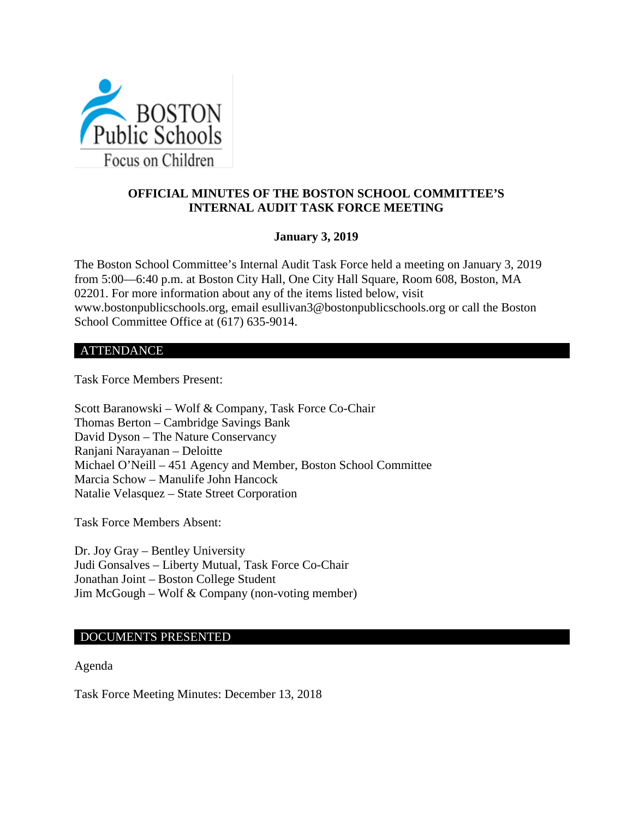

# **OFFICIAL MINUTES OF THE BOSTON SCHOOL COMMITTEE'S INTERNAL AUDIT TASK FORCE MEETING**

## **January 3, 2019**

The Boston School Committee's Internal Audit Task Force held a meeting on January 3, 2019 from 5:00—6:40 p.m. at Boston City Hall, One City Hall Square, Room 608, Boston, MA 02201. For more information about any of the items listed below, visit www.bostonpublicschools.org, email esullivan3@bostonpublicschools.org or call the Boston School Committee Office at (617) 635-9014.

#### ATTENDANCE

Task Force Members Present:

Scott Baranowski – Wolf & Company, Task Force Co-Chair Thomas Berton – Cambridge Savings Bank David Dyson – The Nature Conservancy Ranjani Narayanan – Deloitte Michael O'Neill – 451 Agency and Member, Boston School Committee Marcia Schow – Manulife John Hancock Natalie Velasquez – State Street Corporation

Task Force Members Absent:

Dr. Joy Gray – Bentley University Judi Gonsalves – Liberty Mutual, Task Force Co-Chair Jonathan Joint – Boston College Student Jim McGough – Wolf & Company (non-voting member)

### DOCUMENTS PRESENTED

Agenda

Task Force Meeting Minutes: December 13, 2018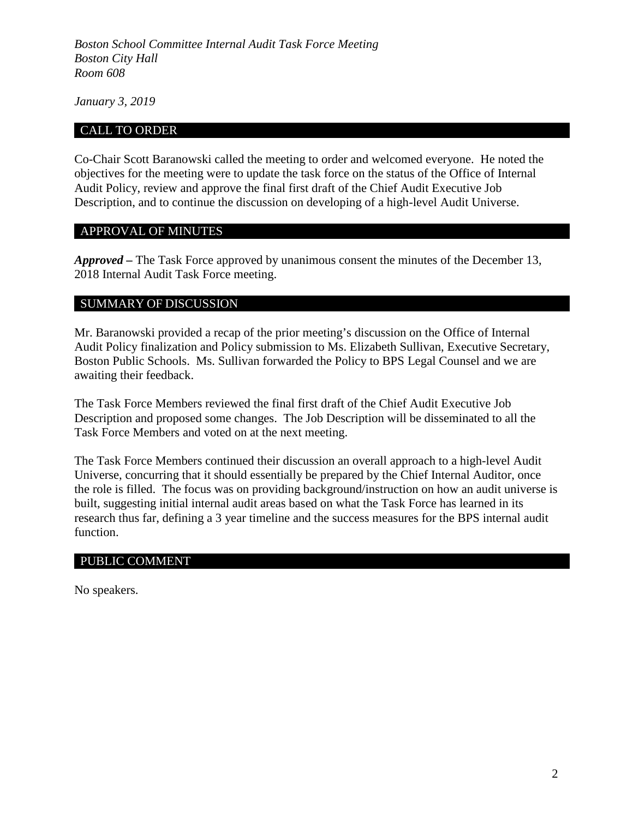*Boston School Committee Internal Audit Task Force Meeting Boston City Hall Room 608*

*January 3, 2019*

### CALL TO ORDER

Co-Chair Scott Baranowski called the meeting to order and welcomed everyone. He noted the objectives for the meeting were to update the task force on the status of the Office of Internal Audit Policy, review and approve the final first draft of the Chief Audit Executive Job Description, and to continue the discussion on developing of a high-level Audit Universe.

### APPROVAL OF MINUTES

*Approved –* The Task Force approved by unanimous consent the minutes of the December 13, 2018 Internal Audit Task Force meeting.

#### SUMMARY OF DISCUSSION

Mr. Baranowski provided a recap of the prior meeting's discussion on the Office of Internal Audit Policy finalization and Policy submission to Ms. Elizabeth Sullivan, Executive Secretary, Boston Public Schools. Ms. Sullivan forwarded the Policy to BPS Legal Counsel and we are awaiting their feedback.

The Task Force Members reviewed the final first draft of the Chief Audit Executive Job Description and proposed some changes. The Job Description will be disseminated to all the Task Force Members and voted on at the next meeting.

The Task Force Members continued their discussion an overall approach to a high-level Audit Universe, concurring that it should essentially be prepared by the Chief Internal Auditor, once the role is filled. The focus was on providing background/instruction on how an audit universe is built, suggesting initial internal audit areas based on what the Task Force has learned in its research thus far, defining a 3 year timeline and the success measures for the BPS internal audit function.

#### PUBLIC COMMENT

No speakers.